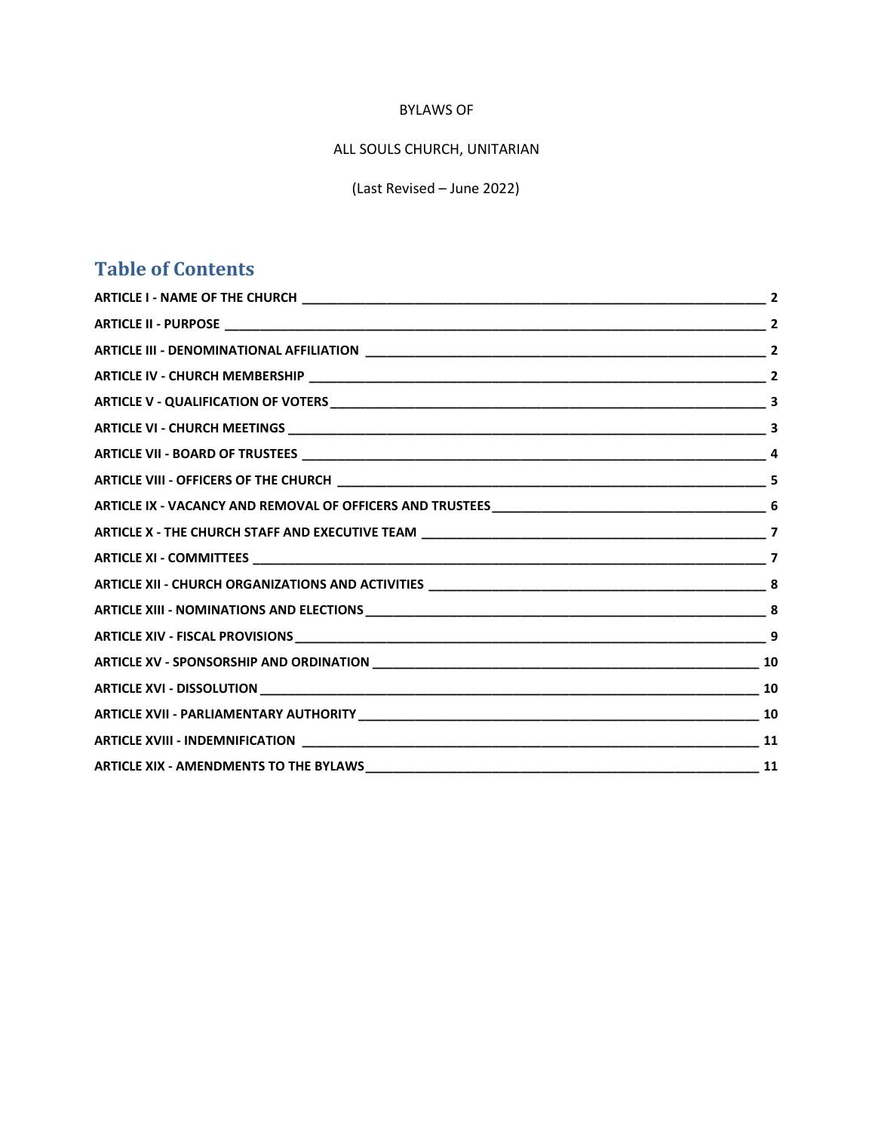#### BYLAWS OF

# ALL SOULS CHURCH, UNITARIAN

(Last Revised – June 2022)

## **Table of Contents**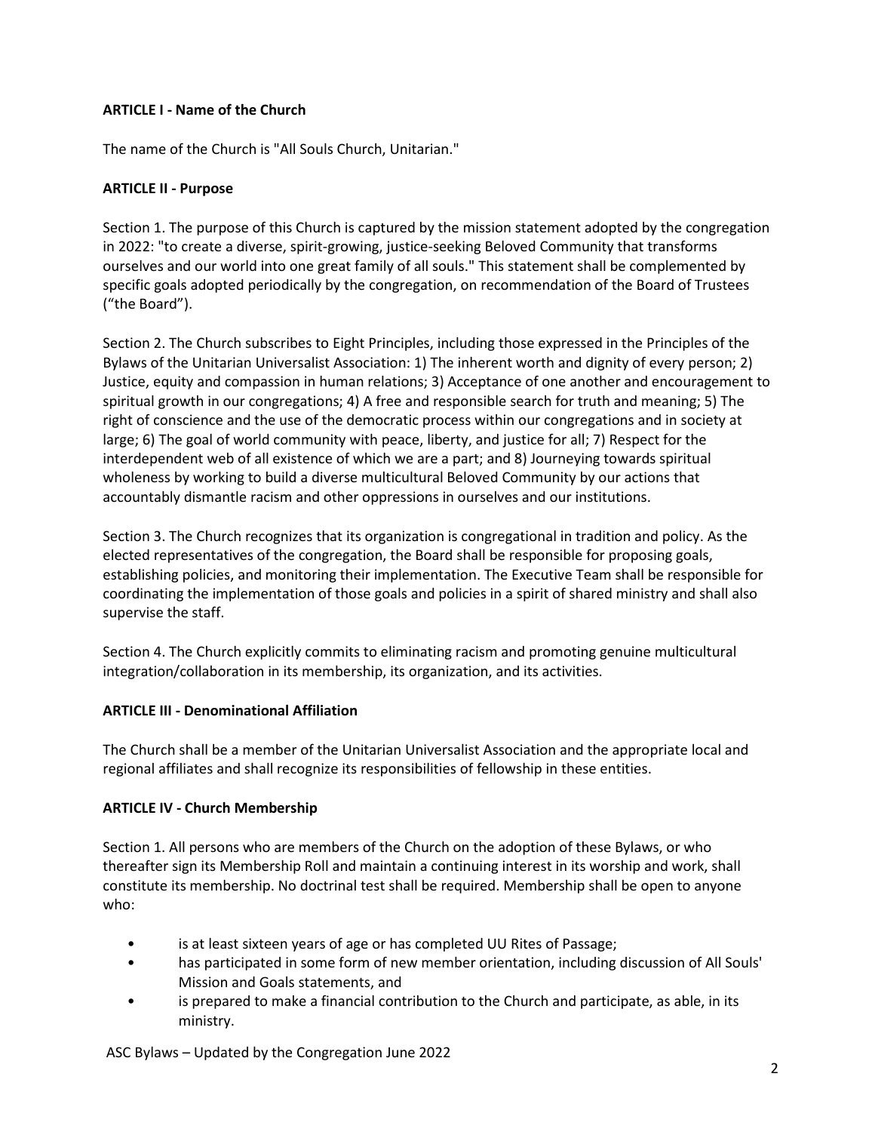## <span id="page-1-0"></span>**ARTICLE I - Name of the Church**

The name of the Church is "All Souls Church, Unitarian."

#### <span id="page-1-1"></span>**ARTICLE II - Purpose**

Section 1. The purpose of this Church is captured by the mission statement adopted by the congregation in 2022: "to create a diverse, spirit-growing, justice-seeking Beloved Community that transforms ourselves and our world into one great family of all souls." This statement shall be complemented by specific goals adopted periodically by the congregation, on recommendation of the Board of Trustees ("the Board").

Section 2. The Church subscribes to Eight Principles, including those expressed in the Principles of the Bylaws of the Unitarian Universalist Association: 1) The inherent worth and dignity of every person; 2) Justice, equity and compassion in human relations; 3) Acceptance of one another and encouragement to spiritual growth in our congregations; 4) A free and responsible search for truth and meaning; 5) The right of conscience and the use of the democratic process within our congregations and in society at large; 6) The goal of world community with peace, liberty, and justice for all; 7) Respect for the interdependent web of all existence of which we are a part; and 8) Journeying towards spiritual wholeness by working to build a diverse multicultural Beloved Community by our actions that accountably dismantle racism and other oppressions in ourselves and our institutions.

Section 3. The Church recognizes that its organization is congregational in tradition and policy. As the elected representatives of the congregation, the Board shall be responsible for proposing goals, establishing policies, and monitoring their implementation. The Executive Team shall be responsible for coordinating the implementation of those goals and policies in a spirit of shared ministry and shall also supervise the staff.

Section 4. The Church explicitly commits to eliminating racism and promoting genuine multicultural integration/collaboration in its membership, its organization, and its activities.

#### <span id="page-1-2"></span>**ARTICLE III - Denominational Affiliation**

The Church shall be a member of the Unitarian Universalist Association and the appropriate local and regional affiliates and shall recognize its responsibilities of fellowship in these entities.

#### <span id="page-1-3"></span>**ARTICLE IV - Church Membership**

Section 1. All persons who are members of the Church on the adoption of these Bylaws, or who thereafter sign its Membership Roll and maintain a continuing interest in its worship and work, shall constitute its membership. No doctrinal test shall be required. Membership shall be open to anyone who:

- is at least sixteen years of age or has completed UU Rites of Passage;
- has participated in some form of new member orientation, including discussion of All Souls' Mission and Goals statements, and
- is prepared to make a financial contribution to the Church and participate, as able, in its ministry.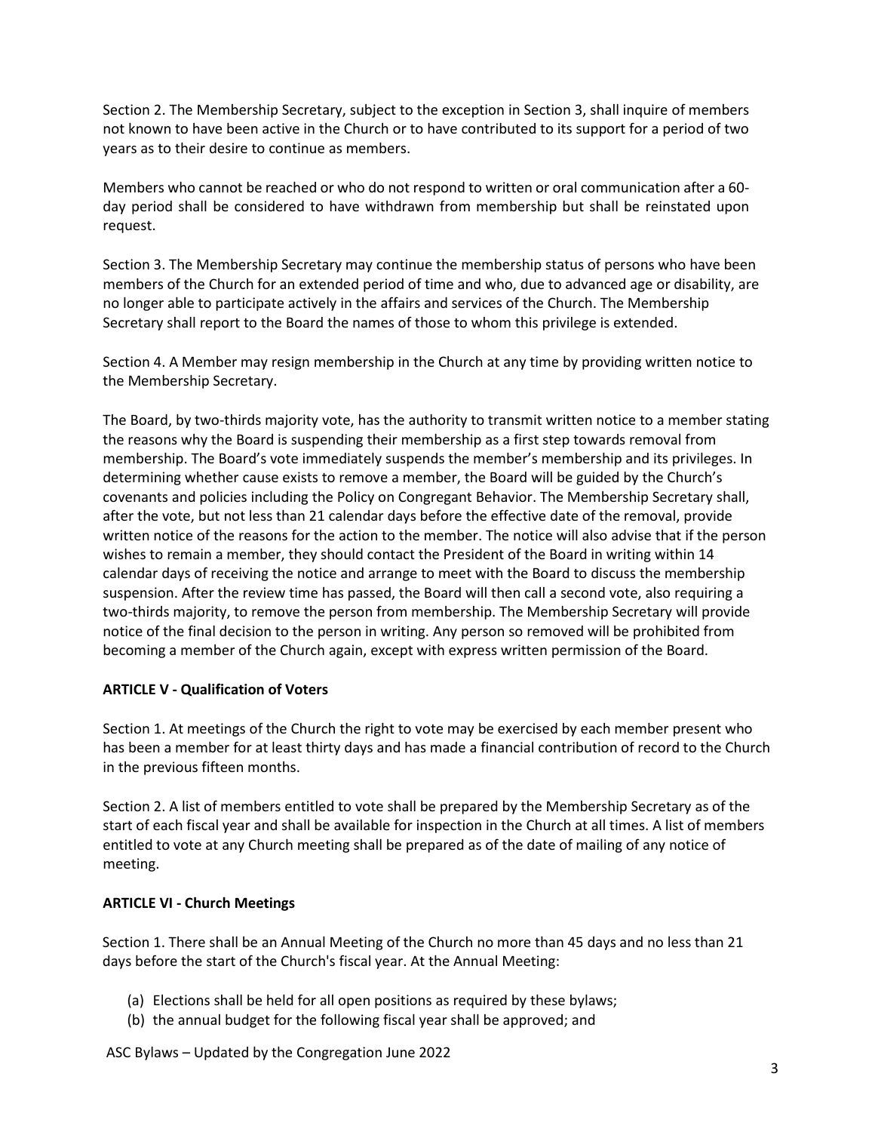Section 2. The Membership Secretary, subject to the exception in Section 3, shall inquire of members not known to have been active in the Church or to have contributed to its support for a period of two years as to their desire to continue as members.

Members who cannot be reached or who do not respond to written or oral communication after a 60 day period shall be considered to have withdrawn from membership but shall be reinstated upon request.

Section 3. The Membership Secretary may continue the membership status of persons who have been members of the Church for an extended period of time and who, due to advanced age or disability, are no longer able to participate actively in the affairs and services of the Church. The Membership Secretary shall report to the Board the names of those to whom this privilege is extended.

Section 4. A Member may resign membership in the Church at any time by providing written notice to the Membership Secretary.

The Board, by two-thirds majority vote, has the authority to transmit written notice to a member stating the reasons why the Board is suspending their membership as a first step towards removal from membership. The Board's vote immediately suspends the member's membership and its privileges. In determining whether cause exists to remove a member, the Board will be guided by the Church's covenants and policies including the Policy on Congregant Behavior. The Membership Secretary shall, after the vote, but not less than 21 calendar days before the effective date of the removal, provide written notice of the reasons for the action to the member. The notice will also advise that if the person wishes to remain a member, they should contact the President of the Board in writing within 14 calendar days of receiving the notice and arrange to meet with the Board to discuss the membership suspension. After the review time has passed, the Board will then call a second vote, also requiring a two-thirds majority, to remove the person from membership. The Membership Secretary will provide notice of the final decision to the person in writing. Any person so removed will be prohibited from becoming a member of the Church again, except with express written permission of the Board.

#### <span id="page-2-0"></span>**ARTICLE V - Qualification of Voters**

Section 1. At meetings of the Church the right to vote may be exercised by each member present who has been a member for at least thirty days and has made a financial contribution of record to the Church in the previous fifteen months.

Section 2. A list of members entitled to vote shall be prepared by the Membership Secretary as of the start of each fiscal year and shall be available for inspection in the Church at all times. A list of members entitled to vote at any Church meeting shall be prepared as of the date of mailing of any notice of meeting.

#### <span id="page-2-1"></span>**ARTICLE VI - Church Meetings**

Section 1. There shall be an Annual Meeting of the Church no more than 45 days and no less than 21 days before the start of the Church's fiscal year. At the Annual Meeting:

- (a) Elections shall be held for all open positions as required by these bylaws;
- (b) the annual budget for the following fiscal year shall be approved; and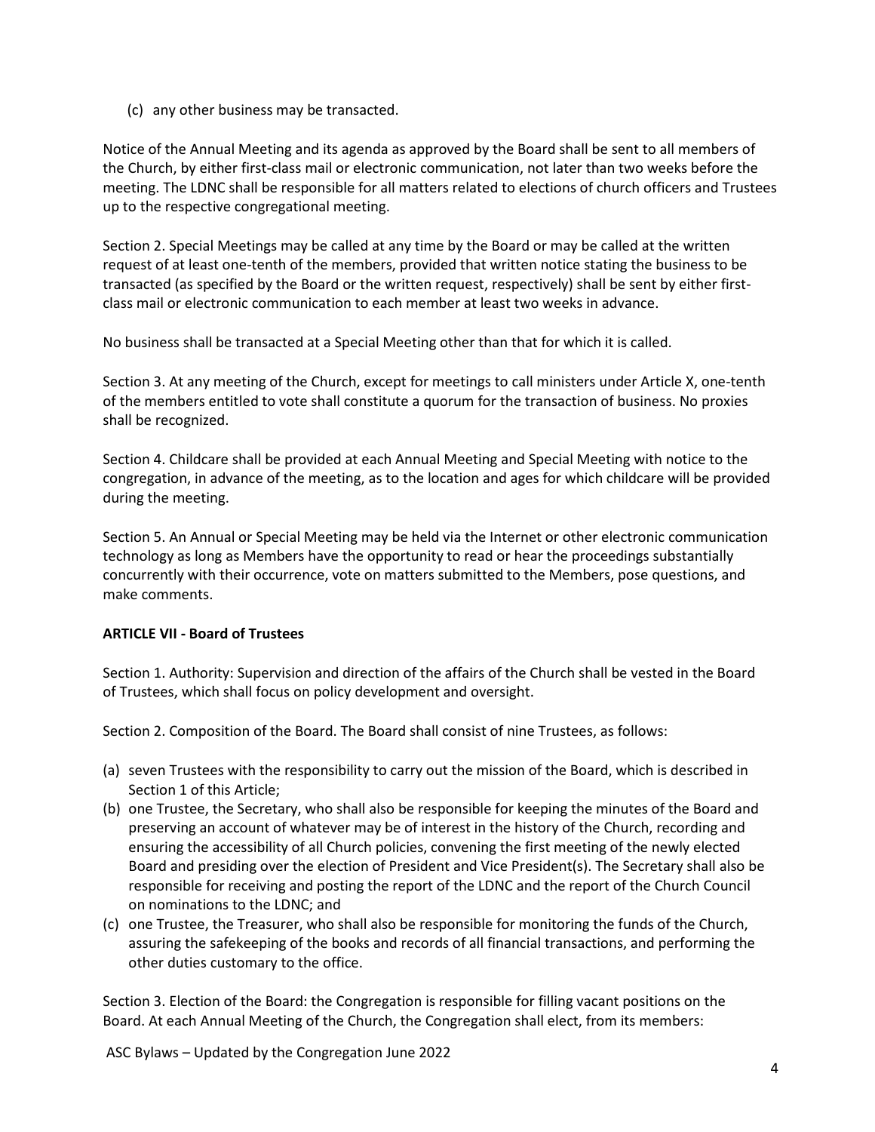(c) any other business may be transacted.

Notice of the Annual Meeting and its agenda as approved by the Board shall be sent to all members of the Church, by either first-class mail or electronic communication, not later than two weeks before the meeting. The LDNC shall be responsible for all matters related to elections of church officers and Trustees up to the respective congregational meeting.

Section 2. Special Meetings may be called at any time by the Board or may be called at the written request of at least one-tenth of the members, provided that written notice stating the business to be transacted (as specified by the Board or the written request, respectively) shall be sent by either firstclass mail or electronic communication to each member at least two weeks in advance.

No business shall be transacted at a Special Meeting other than that for which it is called.

Section 3. At any meeting of the Church, except for meetings to call ministers under Article X, one-tenth of the members entitled to vote shall constitute a quorum for the transaction of business. No proxies shall be recognized.

Section 4. Childcare shall be provided at each Annual Meeting and Special Meeting with notice to the congregation, in advance of the meeting, as to the location and ages for which childcare will be provided during the meeting.

Section 5. An Annual or Special Meeting may be held via the Internet or other electronic communication technology as long as Members have the opportunity to read or hear the proceedings substantially concurrently with their occurrence, vote on matters submitted to the Members, pose questions, and make comments.

## <span id="page-3-0"></span>**ARTICLE VII - Board of Trustees**

Section 1. Authority: Supervision and direction of the affairs of the Church shall be vested in the Board of Trustees, which shall focus on policy development and oversight.

Section 2. Composition of the Board. The Board shall consist of nine Trustees, as follows:

- (a) seven Trustees with the responsibility to carry out the mission of the Board, which is described in Section 1 of this Article;
- (b) one Trustee, the Secretary, who shall also be responsible for keeping the minutes of the Board and preserving an account of whatever may be of interest in the history of the Church, recording and ensuring the accessibility of all Church policies, convening the first meeting of the newly elected Board and presiding over the election of President and Vice President(s). The Secretary shall also be responsible for receiving and posting the report of the LDNC and the report of the Church Council on nominations to the LDNC; and
- (c) one Trustee, the Treasurer, who shall also be responsible for monitoring the funds of the Church, assuring the safekeeping of the books and records of all financial transactions, and performing the other duties customary to the office.

Section 3. Election of the Board: the Congregation is responsible for filling vacant positions on the Board. At each Annual Meeting of the Church, the Congregation shall elect, from its members: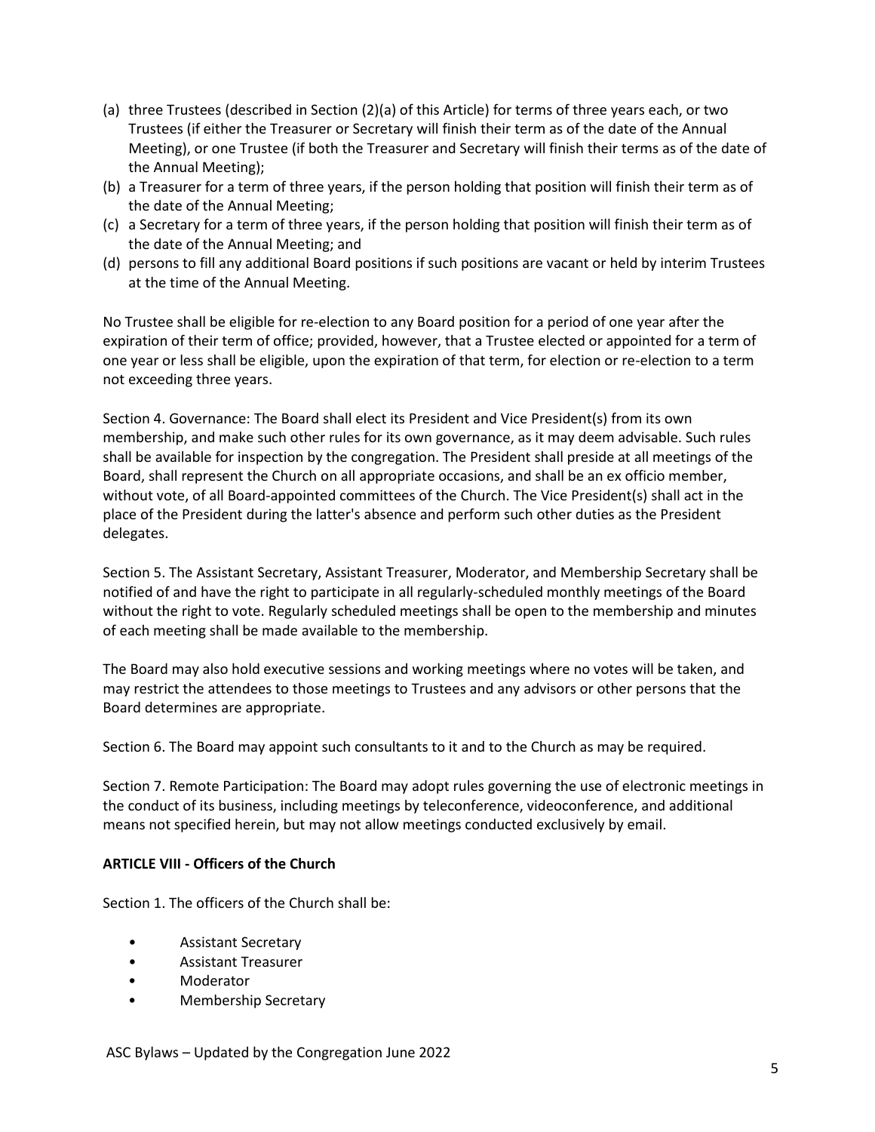- (a) three Trustees (described in Section (2)(a) of this Article) for terms of three years each, or two Trustees (if either the Treasurer or Secretary will finish their term as of the date of the Annual Meeting), or one Trustee (if both the Treasurer and Secretary will finish their terms as of the date of the Annual Meeting);
- (b) a Treasurer for a term of three years, if the person holding that position will finish their term as of the date of the Annual Meeting;
- (c) a Secretary for a term of three years, if the person holding that position will finish their term as of the date of the Annual Meeting; and
- (d) persons to fill any additional Board positions if such positions are vacant or held by interim Trustees at the time of the Annual Meeting.

No Trustee shall be eligible for re-election to any Board position for a period of one year after the expiration of their term of office; provided, however, that a Trustee elected or appointed for a term of one year or less shall be eligible, upon the expiration of that term, for election or re-election to a term not exceeding three years.

Section 4. Governance: The Board shall elect its President and Vice President(s) from its own membership, and make such other rules for its own governance, as it may deem advisable. Such rules shall be available for inspection by the congregation. The President shall preside at all meetings of the Board, shall represent the Church on all appropriate occasions, and shall be an ex officio member, without vote, of all Board-appointed committees of the Church. The Vice President(s) shall act in the place of the President during the latter's absence and perform such other duties as the President delegates.

Section 5. The Assistant Secretary, Assistant Treasurer, Moderator, and Membership Secretary shall be notified of and have the right to participate in all regularly-scheduled monthly meetings of the Board without the right to vote. Regularly scheduled meetings shall be open to the membership and minutes of each meeting shall be made available to the membership.

The Board may also hold executive sessions and working meetings where no votes will be taken, and may restrict the attendees to those meetings to Trustees and any advisors or other persons that the Board determines are appropriate.

Section 6. The Board may appoint such consultants to it and to the Church as may be required.

Section 7. Remote Participation: The Board may adopt rules governing the use of electronic meetings in the conduct of its business, including meetings by teleconference, videoconference, and additional means not specified herein, but may not allow meetings conducted exclusively by email.

#### <span id="page-4-0"></span>**ARTICLE VIII - Officers of the Church**

Section 1. The officers of the Church shall be:

- Assistant Secretary
- Assistant Treasurer
- **Moderator**
- Membership Secretary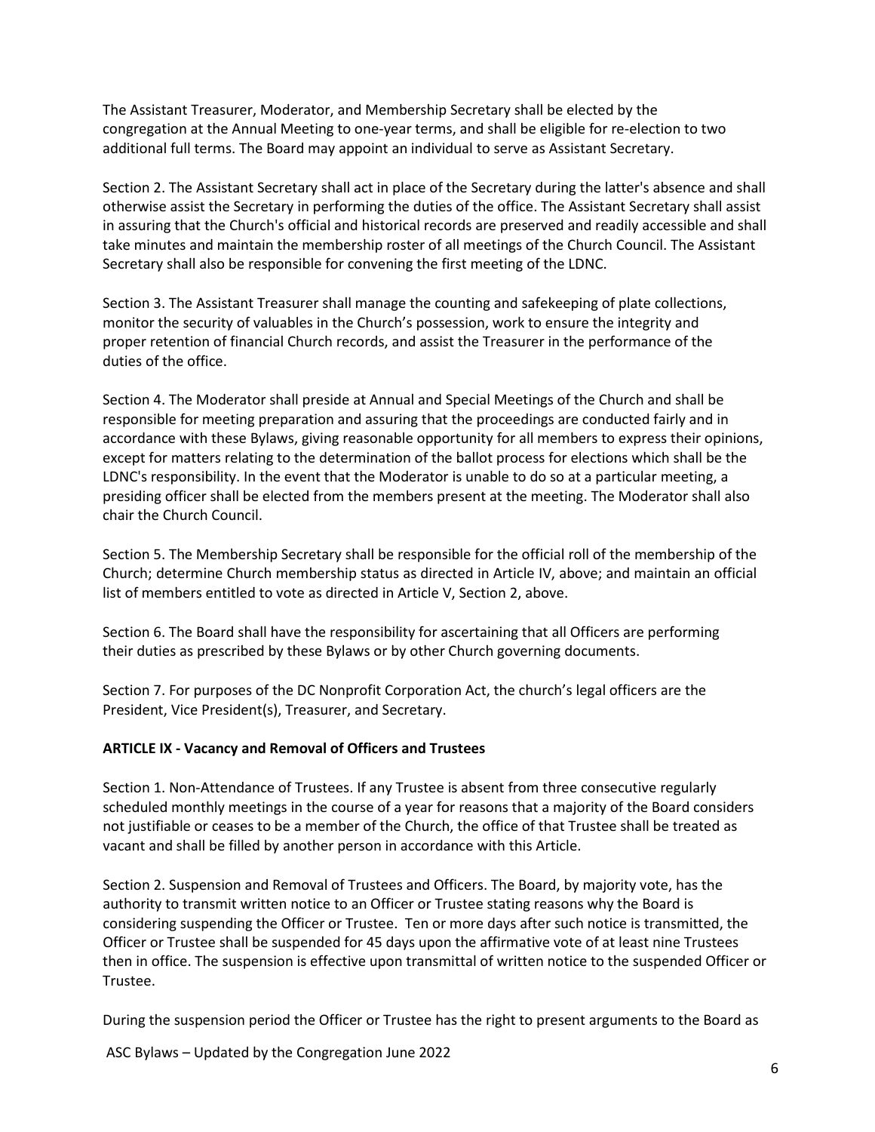The Assistant Treasurer, Moderator, and Membership Secretary shall be elected by the congregation at the Annual Meeting to one-year terms, and shall be eligible for re-election to two additional full terms. The Board may appoint an individual to serve as Assistant Secretary.

Section 2. The Assistant Secretary shall act in place of the Secretary during the latter's absence and shall otherwise assist the Secretary in performing the duties of the office. The Assistant Secretary shall assist in assuring that the Church's official and historical records are preserved and readily accessible and shall take minutes and maintain the membership roster of all meetings of the Church Council. The Assistant Secretary shall also be responsible for convening the first meeting of the LDNC.

Section 3. The Assistant Treasurer shall manage the counting and safekeeping of plate collections, monitor the security of valuables in the Church's possession, work to ensure the integrity and proper retention of financial Church records, and assist the Treasurer in the performance of the duties of the office.

Section 4. The Moderator shall preside at Annual and Special Meetings of the Church and shall be responsible for meeting preparation and assuring that the proceedings are conducted fairly and in accordance with these Bylaws, giving reasonable opportunity for all members to express their opinions, except for matters relating to the determination of the ballot process for elections which shall be the LDNC's responsibility. In the event that the Moderator is unable to do so at a particular meeting, a presiding officer shall be elected from the members present at the meeting. The Moderator shall also chair the Church Council.

Section 5. The Membership Secretary shall be responsible for the official roll of the membership of the Church; determine Church membership status as directed in Article IV, above; and maintain an official list of members entitled to vote as directed in Article V, Section 2, above.

Section 6. The Board shall have the responsibility for ascertaining that all Officers are performing their duties as prescribed by these Bylaws or by other Church governing documents.

Section 7. For purposes of the DC Nonprofit Corporation Act, the church's legal officers are the President, Vice President(s), Treasurer, and Secretary.

#### <span id="page-5-0"></span>**ARTICLE IX - Vacancy and Removal of Officers and Trustees**

Section 1. Non-Attendance of Trustees. If any Trustee is absent from three consecutive regularly scheduled monthly meetings in the course of a year for reasons that a majority of the Board considers not justifiable or ceases to be a member of the Church, the office of that Trustee shall be treated as vacant and shall be filled by another person in accordance with this Article.

Section 2. Suspension and Removal of Trustees and Officers. The Board, by majority vote, has the authority to transmit written notice to an Officer or Trustee stating reasons why the Board is considering suspending the Officer or Trustee. Ten or more days after such notice is transmitted, the Officer or Trustee shall be suspended for 45 days upon the affirmative vote of at least nine Trustees then in office. The suspension is effective upon transmittal of written notice to the suspended Officer or Trustee.

During the suspension period the Officer or Trustee has the right to present arguments to the Board as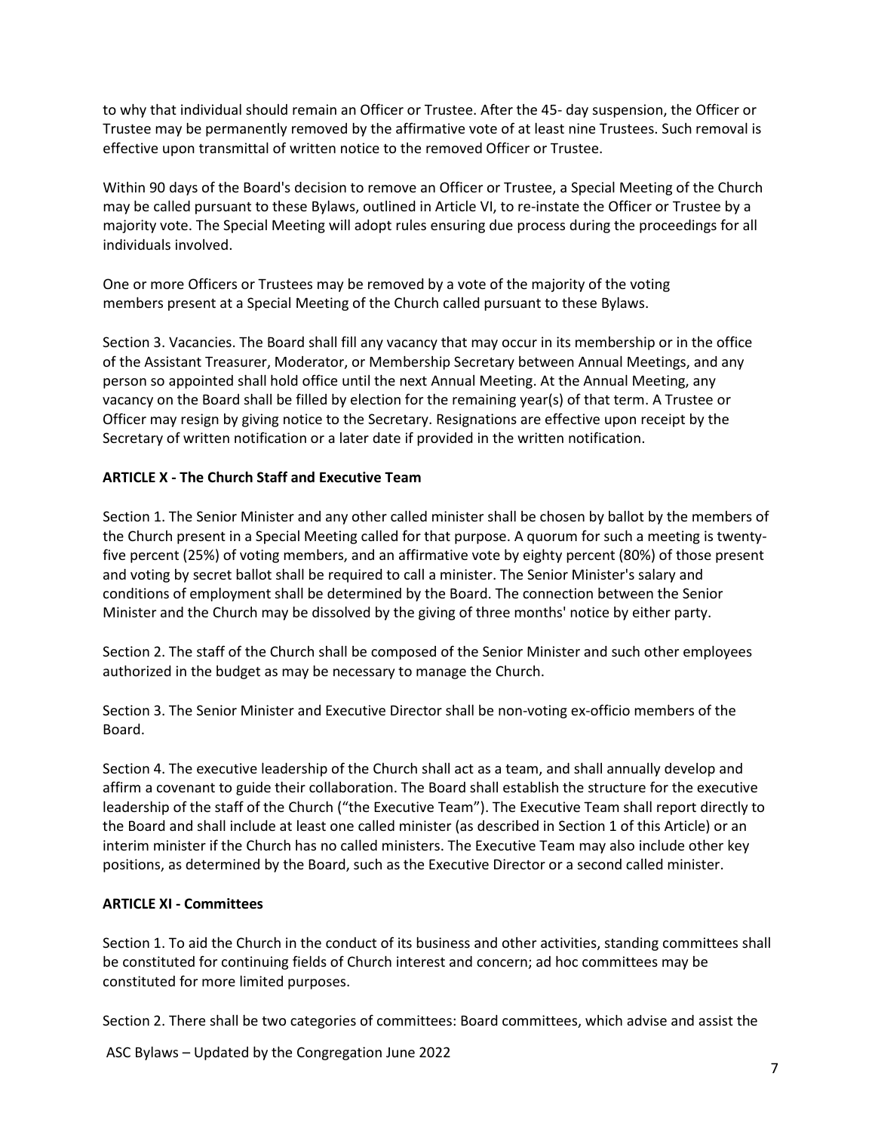to why that individual should remain an Officer or Trustee. After the 45- day suspension, the Officer or Trustee may be permanently removed by the affirmative vote of at least nine Trustees. Such removal is effective upon transmittal of written notice to the removed Officer or Trustee.

Within 90 days of the Board's decision to remove an Officer or Trustee, a Special Meeting of the Church may be called pursuant to these Bylaws, outlined in Article VI, to re-instate the Officer or Trustee by a majority vote. The Special Meeting will adopt rules ensuring due process during the proceedings for all individuals involved.

One or more Officers or Trustees may be removed by a vote of the majority of the voting members present at a Special Meeting of the Church called pursuant to these Bylaws.

Section 3. Vacancies. The Board shall fill any vacancy that may occur in its membership or in the office of the Assistant Treasurer, Moderator, or Membership Secretary between Annual Meetings, and any person so appointed shall hold office until the next Annual Meeting. At the Annual Meeting, any vacancy on the Board shall be filled by election for the remaining year(s) of that term. A Trustee or Officer may resign by giving notice to the Secretary. Resignations are effective upon receipt by the Secretary of written notification or a later date if provided in the written notification.

### <span id="page-6-0"></span>**ARTICLE X - The Church Staff and Executive Team**

Section 1. The Senior Minister and any other called minister shall be chosen by ballot by the members of the Church present in a Special Meeting called for that purpose. A quorum for such a meeting is twentyfive percent (25%) of voting members, and an affirmative vote by eighty percent (80%) of those present and voting by secret ballot shall be required to call a minister. The Senior Minister's salary and conditions of employment shall be determined by the Board. The connection between the Senior Minister and the Church may be dissolved by the giving of three months' notice by either party.

Section 2. The staff of the Church shall be composed of the Senior Minister and such other employees authorized in the budget as may be necessary to manage the Church.

Section 3. The Senior Minister and Executive Director shall be non-voting ex-officio members of the Board.

Section 4. The executive leadership of the Church shall act as a team, and shall annually develop and affirm a covenant to guide their collaboration. The Board shall establish the structure for the executive leadership of the staff of the Church ("the Executive Team"). The Executive Team shall report directly to the Board and shall include at least one called minister (as described in Section 1 of this Article) or an interim minister if the Church has no called ministers. The Executive Team may also include other key positions, as determined by the Board, such as the Executive Director or a second called minister.

#### <span id="page-6-1"></span>**ARTICLE XI - Committees**

Section 1. To aid the Church in the conduct of its business and other activities, standing committees shall be constituted for continuing fields of Church interest and concern; ad hoc committees may be constituted for more limited purposes.

Section 2. There shall be two categories of committees: Board committees, which advise and assist the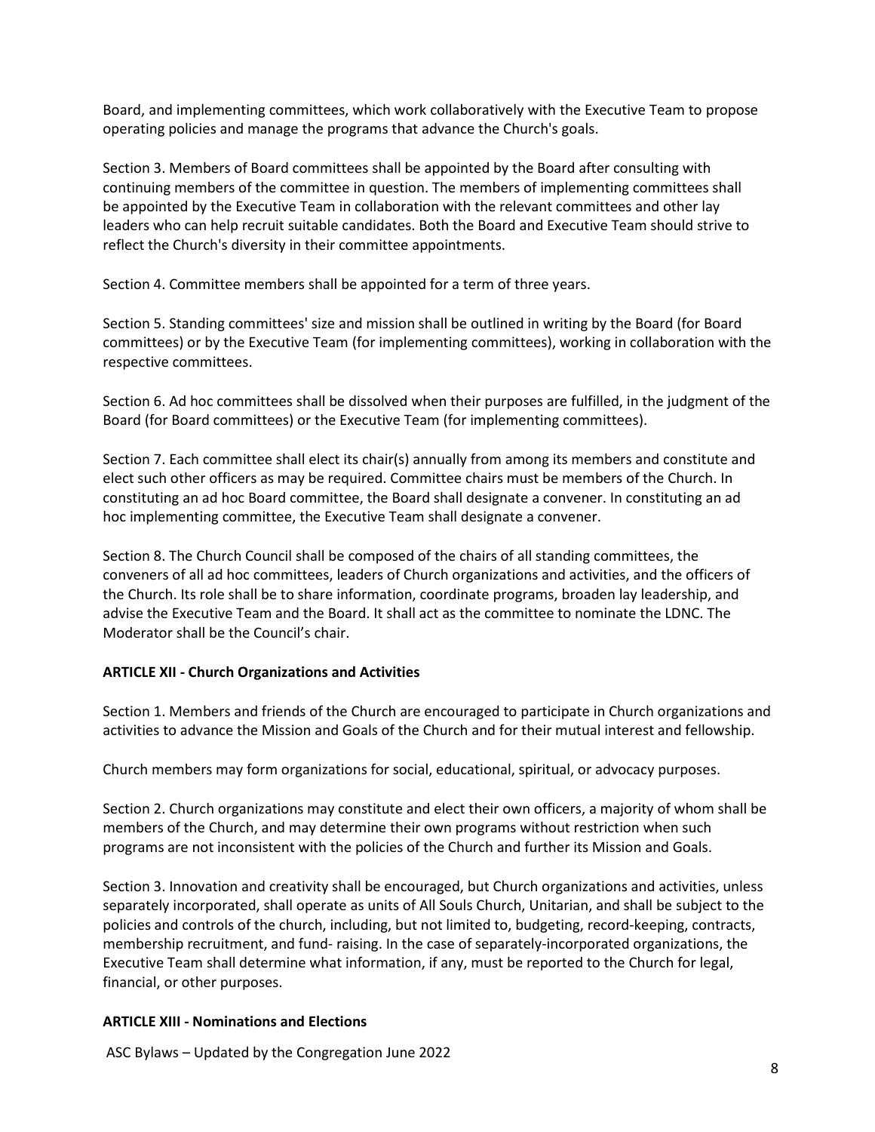Board, and implementing committees, which work collaboratively with the Executive Team to propose operating policies and manage the programs that advance the Church's goals.

Section 3. Members of Board committees shall be appointed by the Board after consulting with continuing members of the committee in question. The members of implementing committees shall be appointed by the Executive Team in collaboration with the relevant committees and other lay leaders who can help recruit suitable candidates. Both the Board and Executive Team should strive to reflect the Church's diversity in their committee appointments.

Section 4. Committee members shall be appointed for a term of three years.

Section 5. Standing committees' size and mission shall be outlined in writing by the Board (for Board committees) or by the Executive Team (for implementing committees), working in collaboration with the respective committees.

Section 6. Ad hoc committees shall be dissolved when their purposes are fulfilled, in the judgment of the Board (for Board committees) or the Executive Team (for implementing committees).

Section 7. Each committee shall elect its chair(s) annually from among its members and constitute and elect such other officers as may be required. Committee chairs must be members of the Church. In constituting an ad hoc Board committee, the Board shall designate a convener. In constituting an ad hoc implementing committee, the Executive Team shall designate a convener.

Section 8. The Church Council shall be composed of the chairs of all standing committees, the conveners of all ad hoc committees, leaders of Church organizations and activities, and the officers of the Church. Its role shall be to share information, coordinate programs, broaden lay leadership, and advise the Executive Team and the Board. It shall act as the committee to nominate the LDNC. The Moderator shall be the Council's chair.

## <span id="page-7-0"></span>**ARTICLE XII - Church Organizations and Activities**

Section 1. Members and friends of the Church are encouraged to participate in Church organizations and activities to advance the Mission and Goals of the Church and for their mutual interest and fellowship.

Church members may form organizations for social, educational, spiritual, or advocacy purposes.

Section 2. Church organizations may constitute and elect their own officers, a majority of whom shall be members of the Church, and may determine their own programs without restriction when such programs are not inconsistent with the policies of the Church and further its Mission and Goals.

Section 3. Innovation and creativity shall be encouraged, but Church organizations and activities, unless separately incorporated, shall operate as units of All Souls Church, Unitarian, and shall be subject to the policies and controls of the church, including, but not limited to, budgeting, record-keeping, contracts, membership recruitment, and fund- raising. In the case of separately-incorporated organizations, the Executive Team shall determine what information, if any, must be reported to the Church for legal, financial, or other purposes.

#### <span id="page-7-1"></span>**ARTICLE XIII - Nominations and Elections**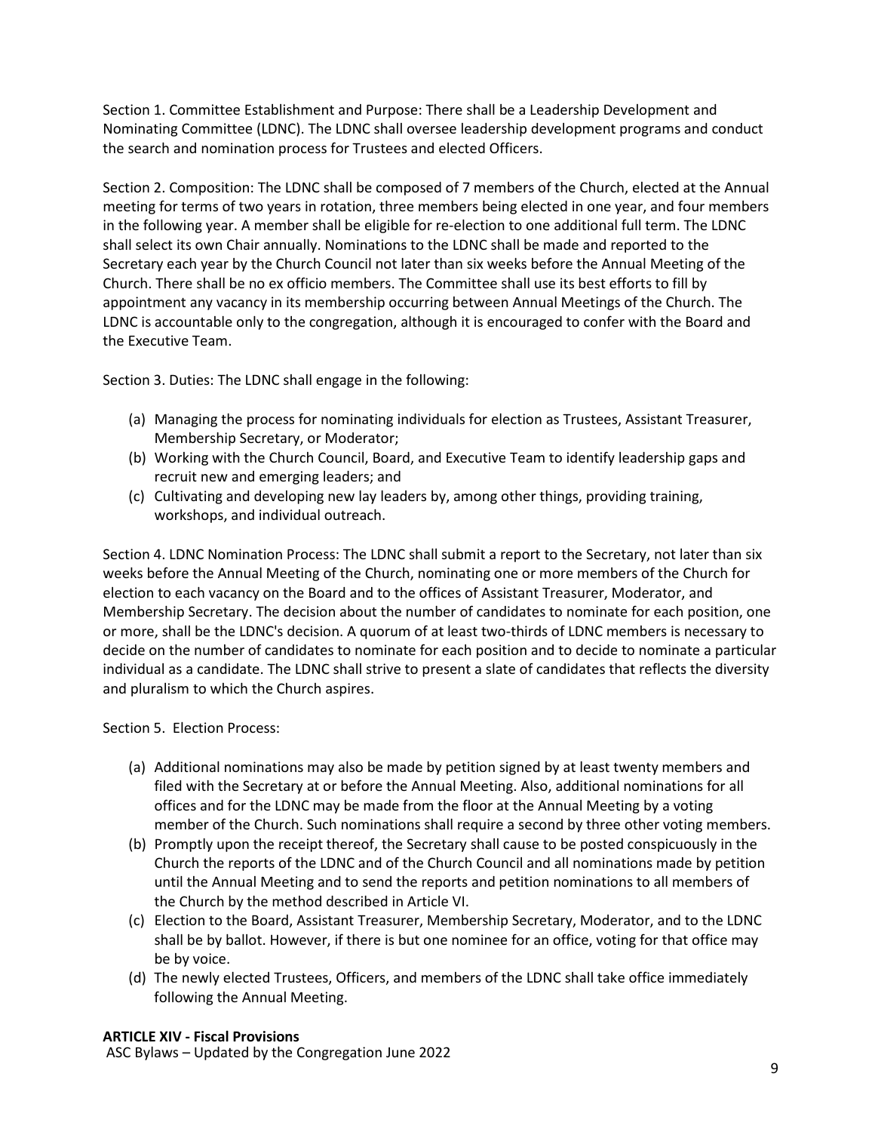Section 1. Committee Establishment and Purpose: There shall be a Leadership Development and Nominating Committee (LDNC). The LDNC shall oversee leadership development programs and conduct the search and nomination process for Trustees and elected Officers.

Section 2. Composition: The LDNC shall be composed of 7 members of the Church, elected at the Annual meeting for terms of two years in rotation, three members being elected in one year, and four members in the following year. A member shall be eligible for re-election to one additional full term. The LDNC shall select its own Chair annually. Nominations to the LDNC shall be made and reported to the Secretary each year by the Church Council not later than six weeks before the Annual Meeting of the Church. There shall be no ex officio members. The Committee shall use its best efforts to fill by appointment any vacancy in its membership occurring between Annual Meetings of the Church. The LDNC is accountable only to the congregation, although it is encouraged to confer with the Board and the Executive Team.

Section 3. Duties: The LDNC shall engage in the following:

- (a) Managing the process for nominating individuals for election as Trustees, Assistant Treasurer, Membership Secretary, or Moderator;
- (b) Working with the Church Council, Board, and Executive Team to identify leadership gaps and recruit new and emerging leaders; and
- (c) Cultivating and developing new lay leaders by, among other things, providing training, workshops, and individual outreach.

Section 4. LDNC Nomination Process: The LDNC shall submit a report to the Secretary, not later than six weeks before the Annual Meeting of the Church, nominating one or more members of the Church for election to each vacancy on the Board and to the offices of Assistant Treasurer, Moderator, and Membership Secretary. The decision about the number of candidates to nominate for each position, one or more, shall be the LDNC's decision. A quorum of at least two-thirds of LDNC members is necessary to decide on the number of candidates to nominate for each position and to decide to nominate a particular individual as a candidate. The LDNC shall strive to present a slate of candidates that reflects the diversity and pluralism to which the Church aspires.

Section 5. Election Process:

- (a) Additional nominations may also be made by petition signed by at least twenty members and filed with the Secretary at or before the Annual Meeting. Also, additional nominations for all offices and for the LDNC may be made from the floor at the Annual Meeting by a voting member of the Church. Such nominations shall require a second by three other voting members.
- (b) Promptly upon the receipt thereof, the Secretary shall cause to be posted conspicuously in the Church the reports of the LDNC and of the Church Council and all nominations made by petition until the Annual Meeting and to send the reports and petition nominations to all members of the Church by the method described in Article VI.
- (c) Election to the Board, Assistant Treasurer, Membership Secretary, Moderator, and to the LDNC shall be by ballot. However, if there is but one nominee for an office, voting for that office may be by voice.
- <span id="page-8-0"></span>(d) The newly elected Trustees, Officers, and members of the LDNC shall take office immediately following the Annual Meeting.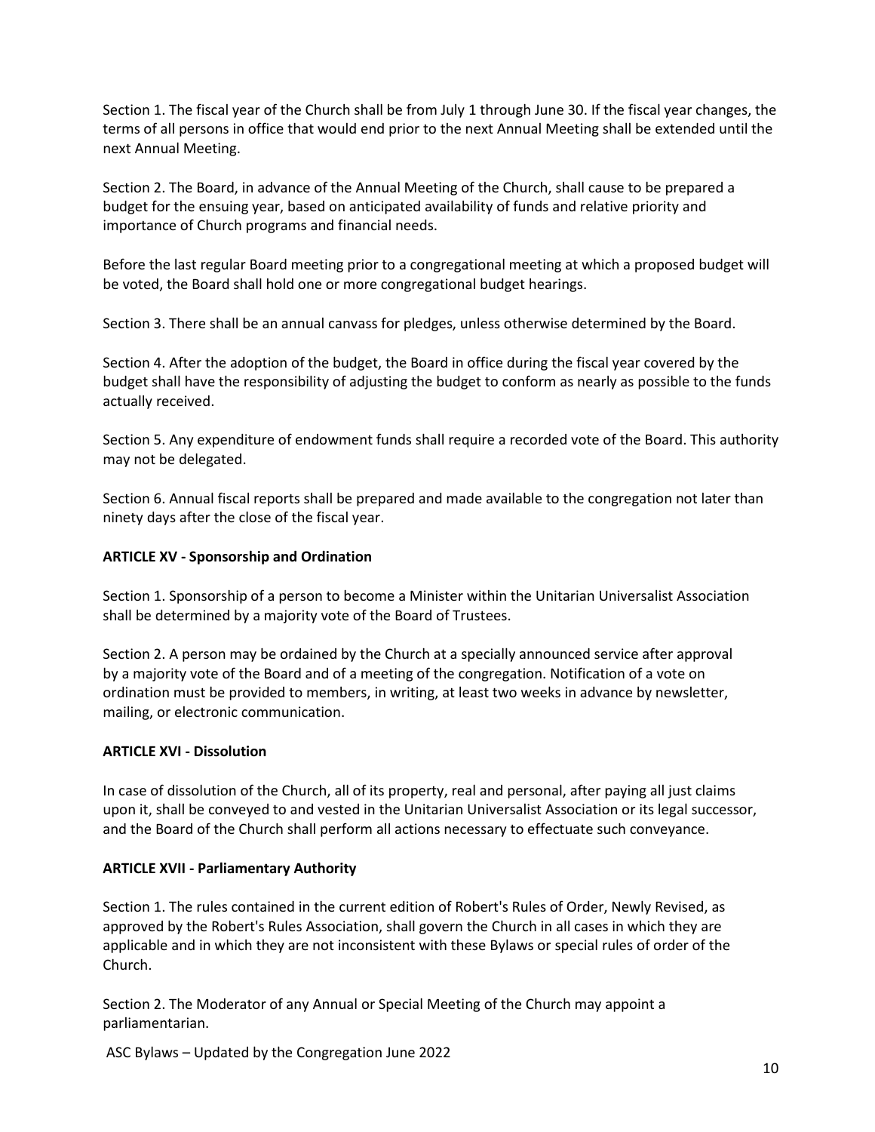Section 1. The fiscal year of the Church shall be from July 1 through June 30. If the fiscal year changes, the terms of all persons in office that would end prior to the next Annual Meeting shall be extended until the next Annual Meeting.

Section 2. The Board, in advance of the Annual Meeting of the Church, shall cause to be prepared a budget for the ensuing year, based on anticipated availability of funds and relative priority and importance of Church programs and financial needs.

Before the last regular Board meeting prior to a congregational meeting at which a proposed budget will be voted, the Board shall hold one or more congregational budget hearings.

Section 3. There shall be an annual canvass for pledges, unless otherwise determined by the Board.

Section 4. After the adoption of the budget, the Board in office during the fiscal year covered by the budget shall have the responsibility of adjusting the budget to conform as nearly as possible to the funds actually received.

Section 5. Any expenditure of endowment funds shall require a recorded vote of the Board. This authority may not be delegated.

Section 6. Annual fiscal reports shall be prepared and made available to the congregation not later than ninety days after the close of the fiscal year.

#### <span id="page-9-0"></span>**ARTICLE XV - Sponsorship and Ordination**

Section 1. Sponsorship of a person to become a Minister within the Unitarian Universalist Association shall be determined by a majority vote of the Board of Trustees.

Section 2. A person may be ordained by the Church at a specially announced service after approval by a majority vote of the Board and of a meeting of the congregation. Notification of a vote on ordination must be provided to members, in writing, at least two weeks in advance by newsletter, mailing, or electronic communication.

#### <span id="page-9-1"></span>**ARTICLE XVI - Dissolution**

In case of dissolution of the Church, all of its property, real and personal, after paying all just claims upon it, shall be conveyed to and vested in the Unitarian Universalist Association or its legal successor, and the Board of the Church shall perform all actions necessary to effectuate such conveyance.

#### <span id="page-9-2"></span>**ARTICLE XVII - Parliamentary Authority**

Section 1. The rules contained in the current edition of Robert's Rules of Order, Newly Revised, as approved by the Robert's Rules Association, shall govern the Church in all cases in which they are applicable and in which they are not inconsistent with these Bylaws or special rules of order of the Church.

Section 2. The Moderator of any Annual or Special Meeting of the Church may appoint a parliamentarian.